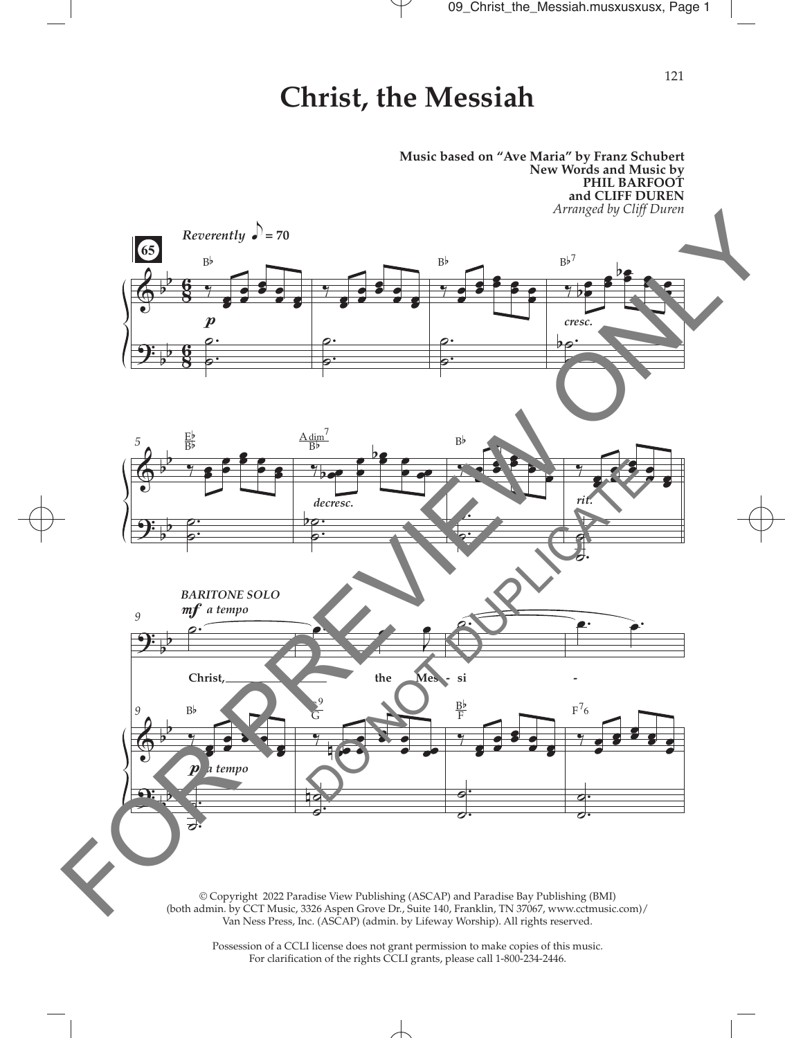## **Christ, the Messiah**



Possession of a CCLI license does not grant permission to make copies of this music. For clarifcation of the rights CCLI grants, please call 1-800-234-2446.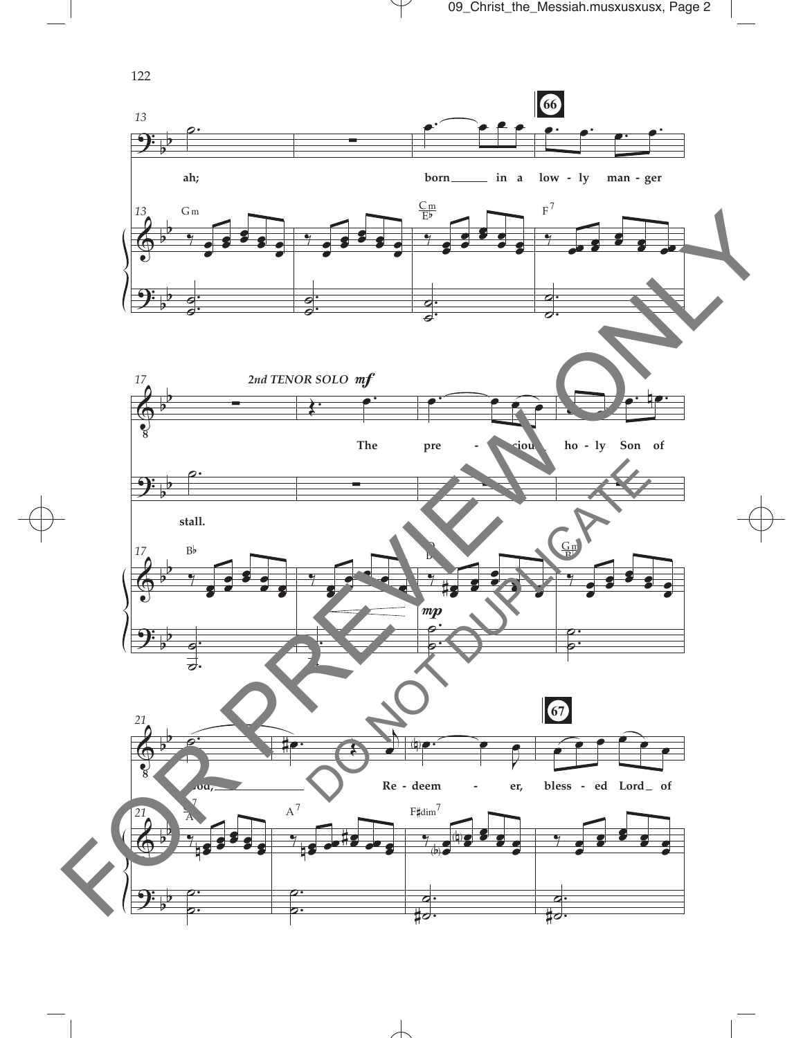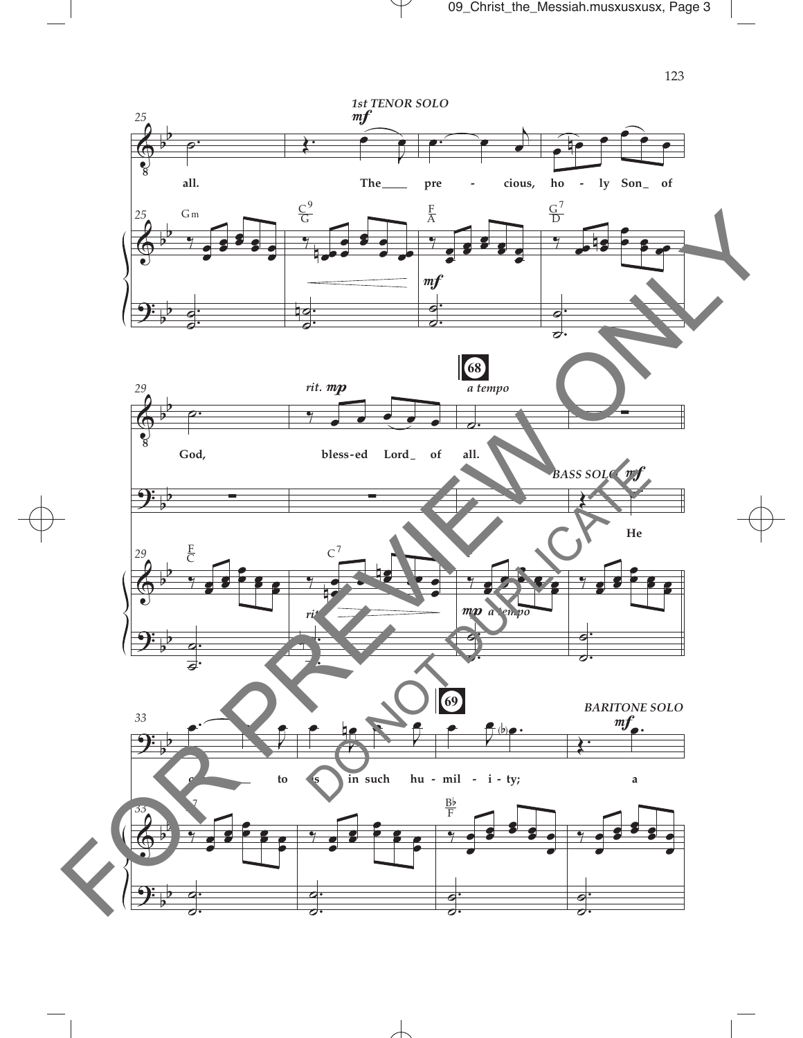

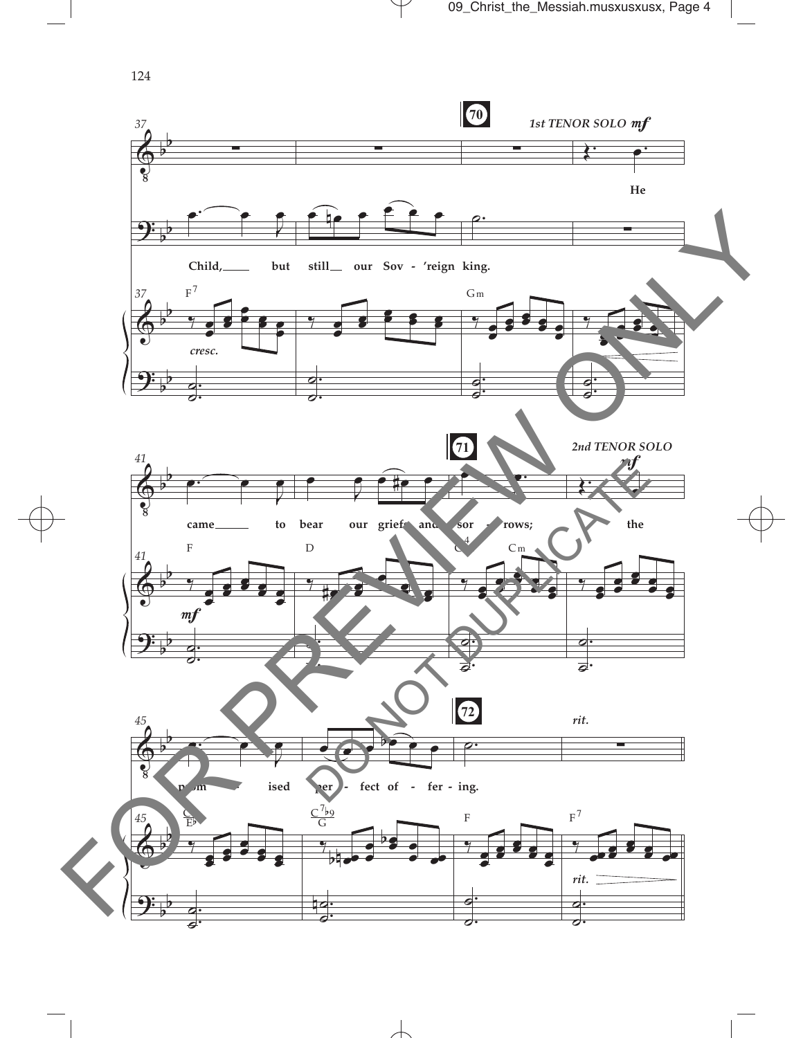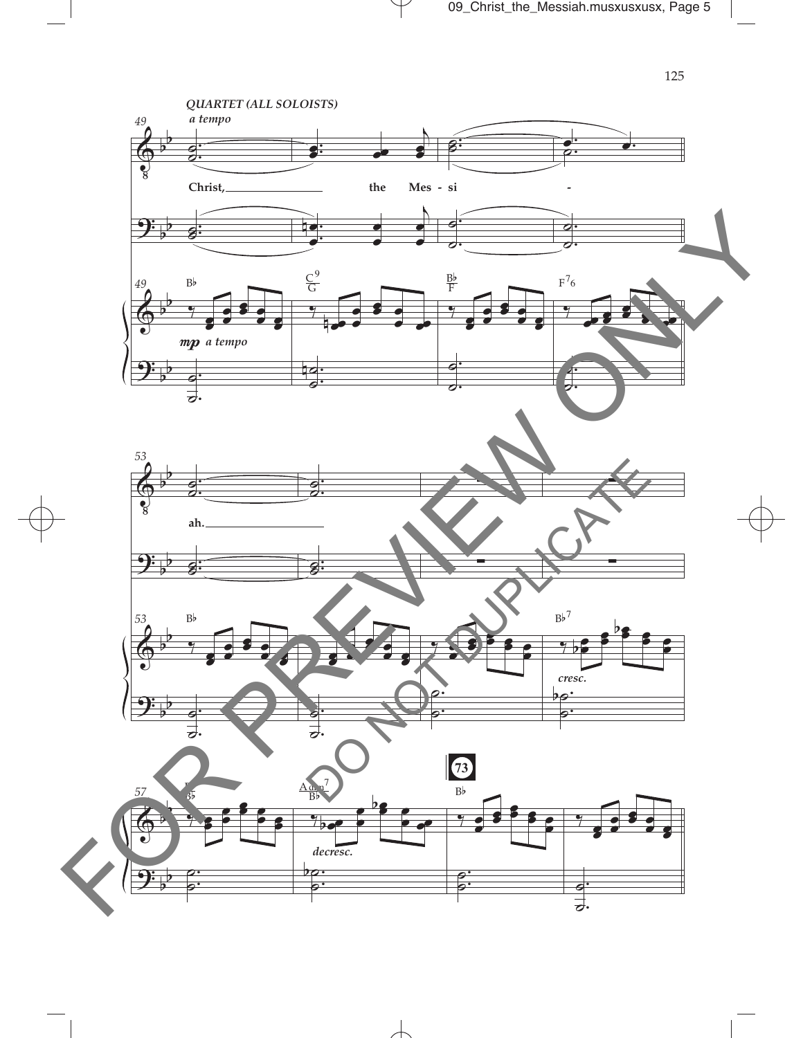

 $\overline{\phantom{a}}$ 

 $125\,$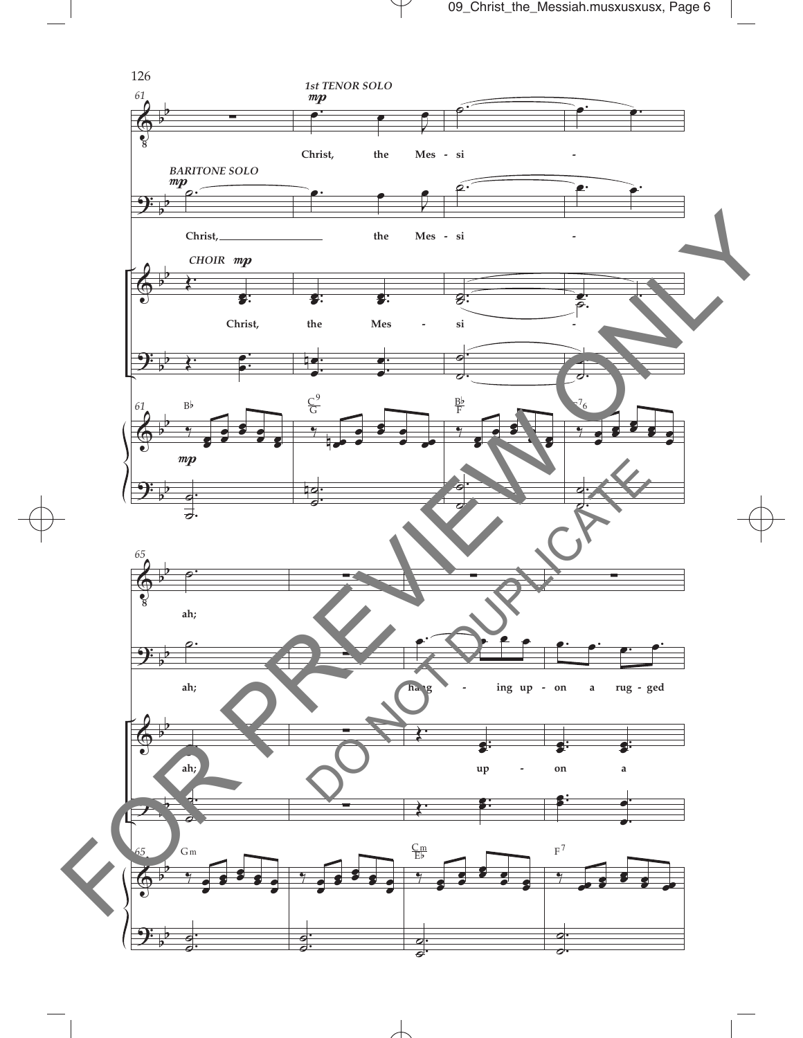

 $\blacksquare$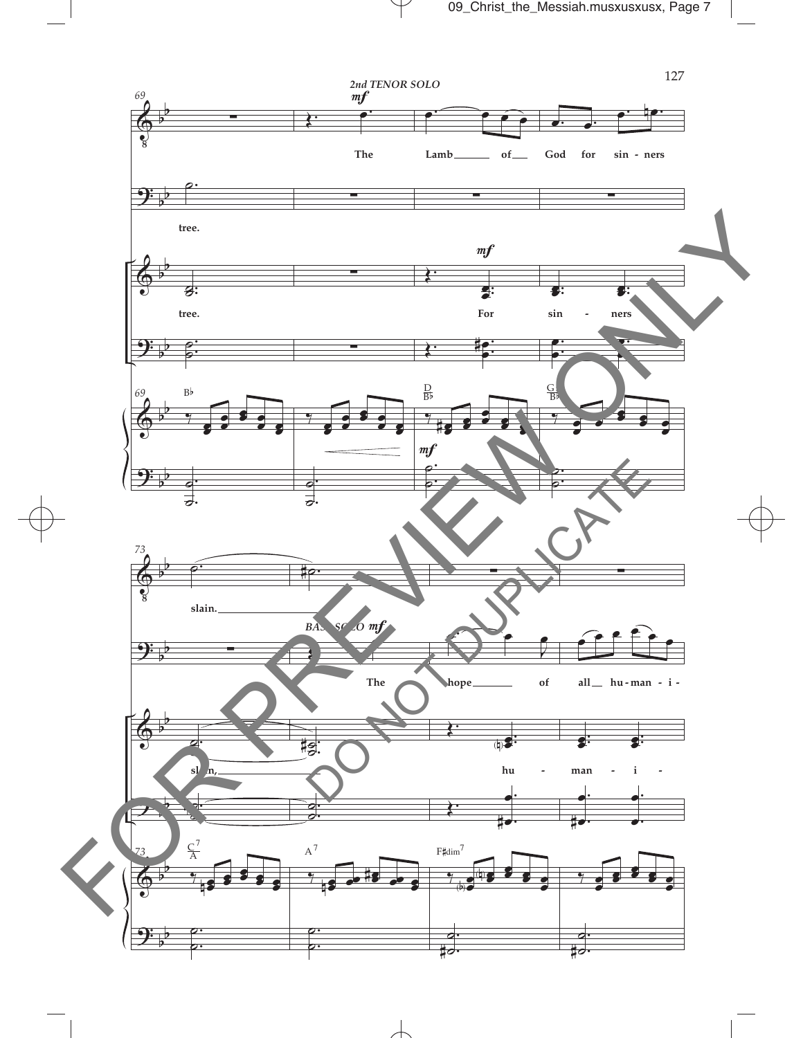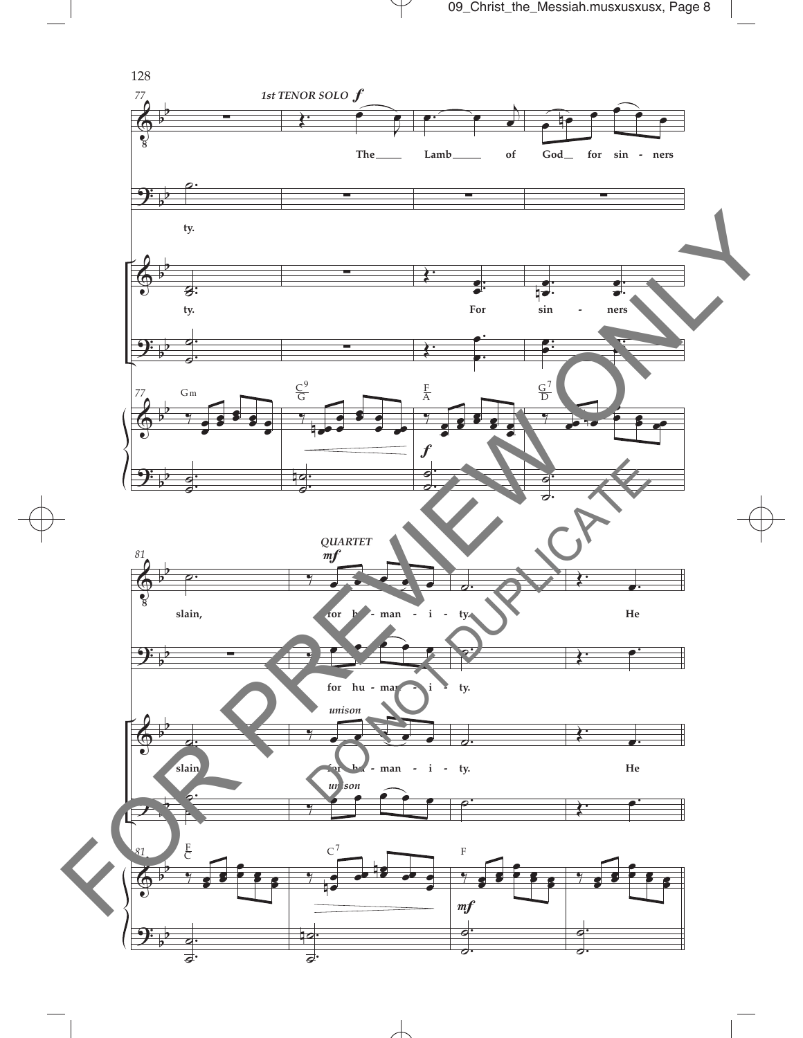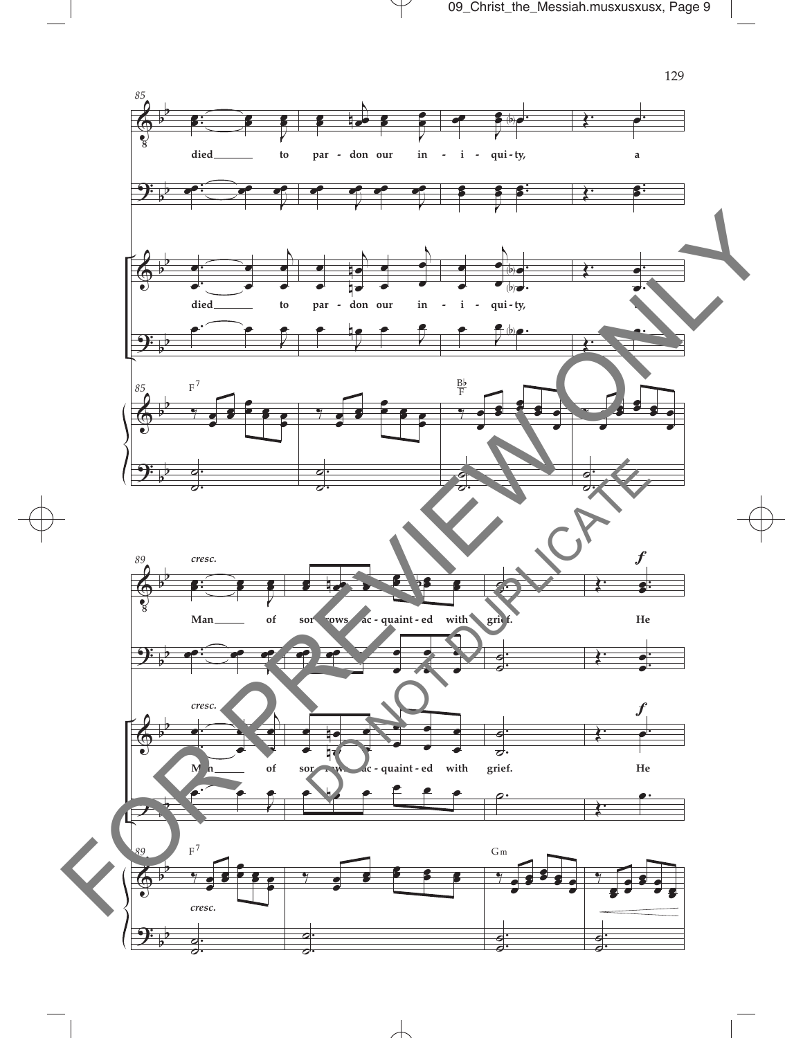

 $\mathcal V$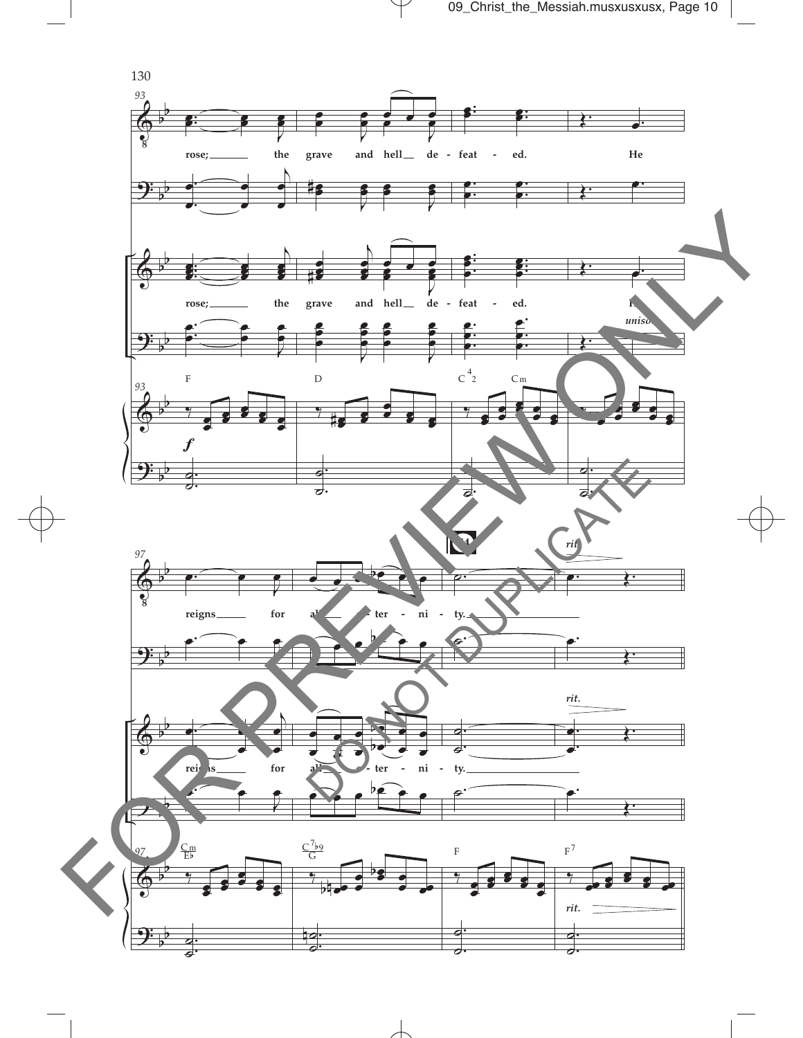

 $\overline{\mathcal{A}}$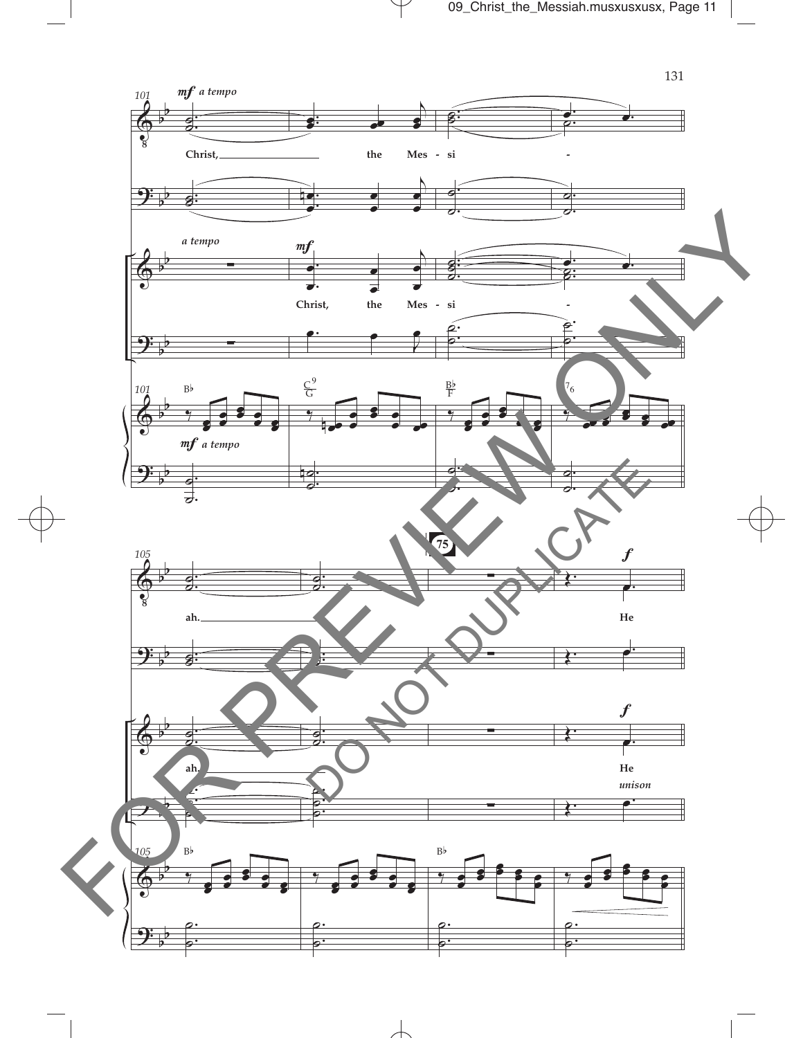

 $\blacksquare$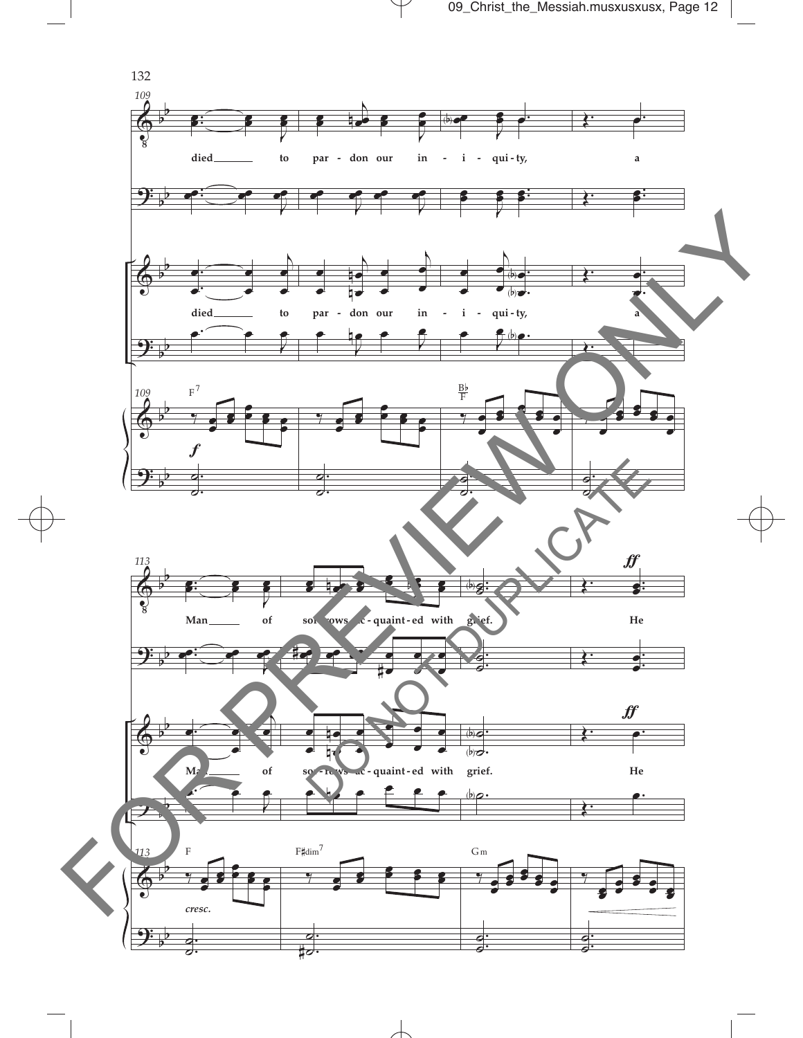

 $\mathcal Y$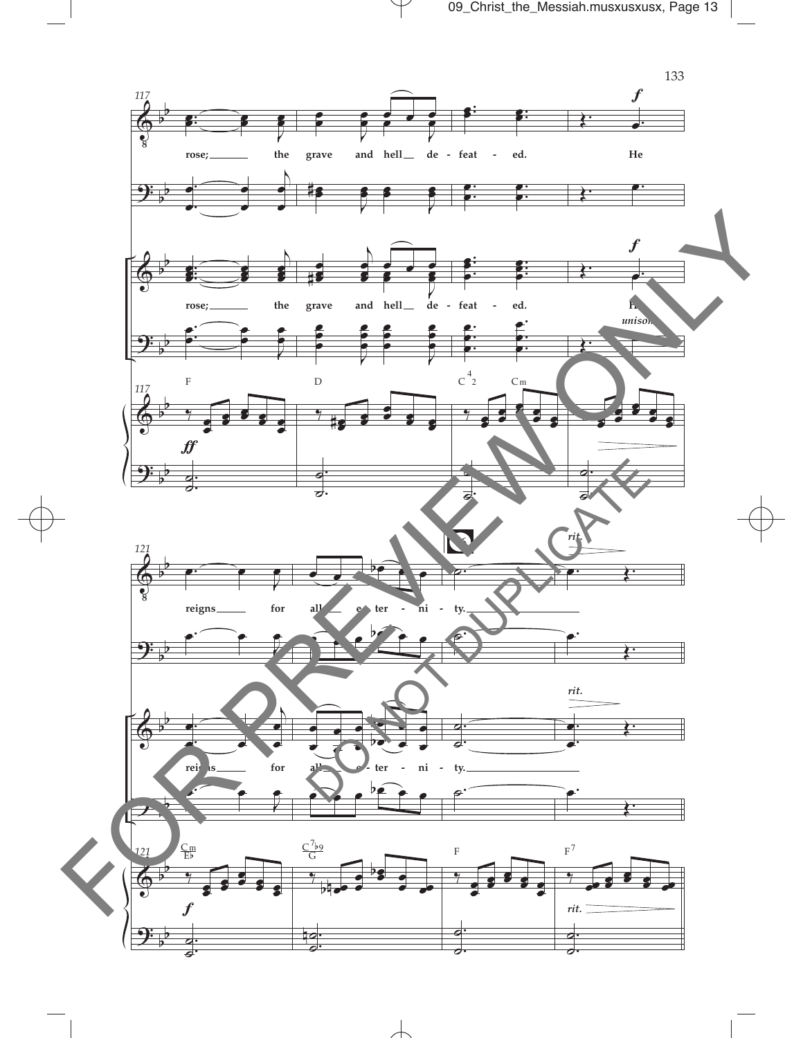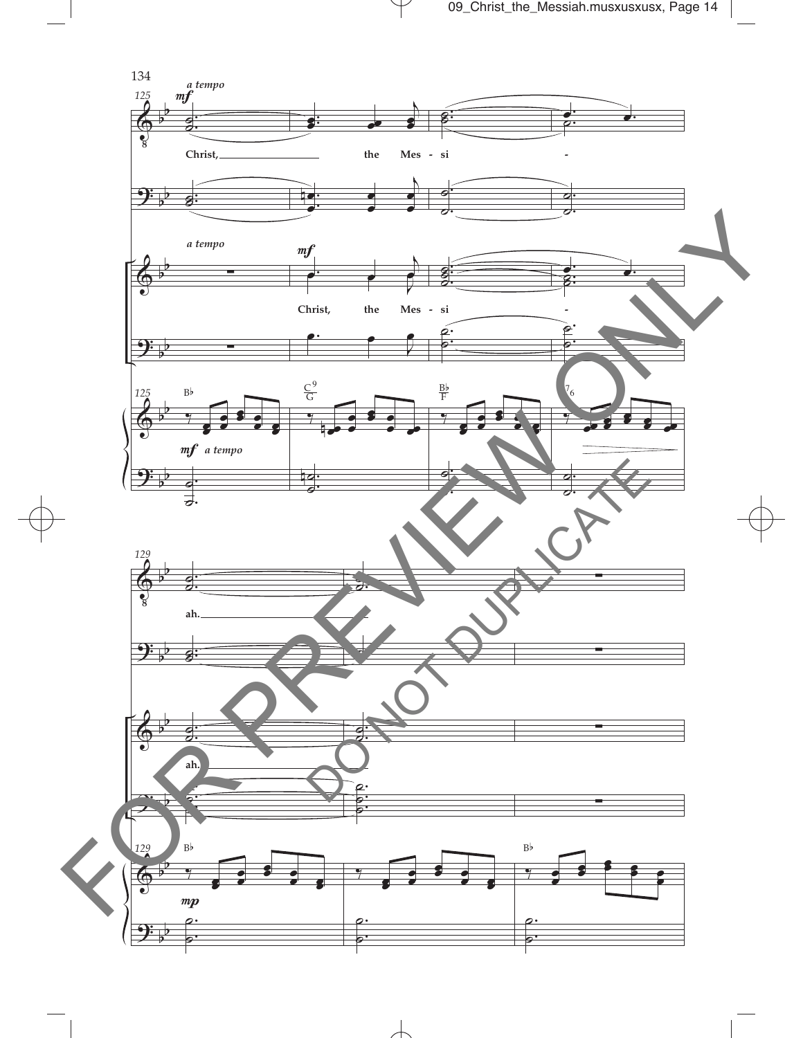

 $\overline{\mathcal{A}}$ 

 $^{-}$ l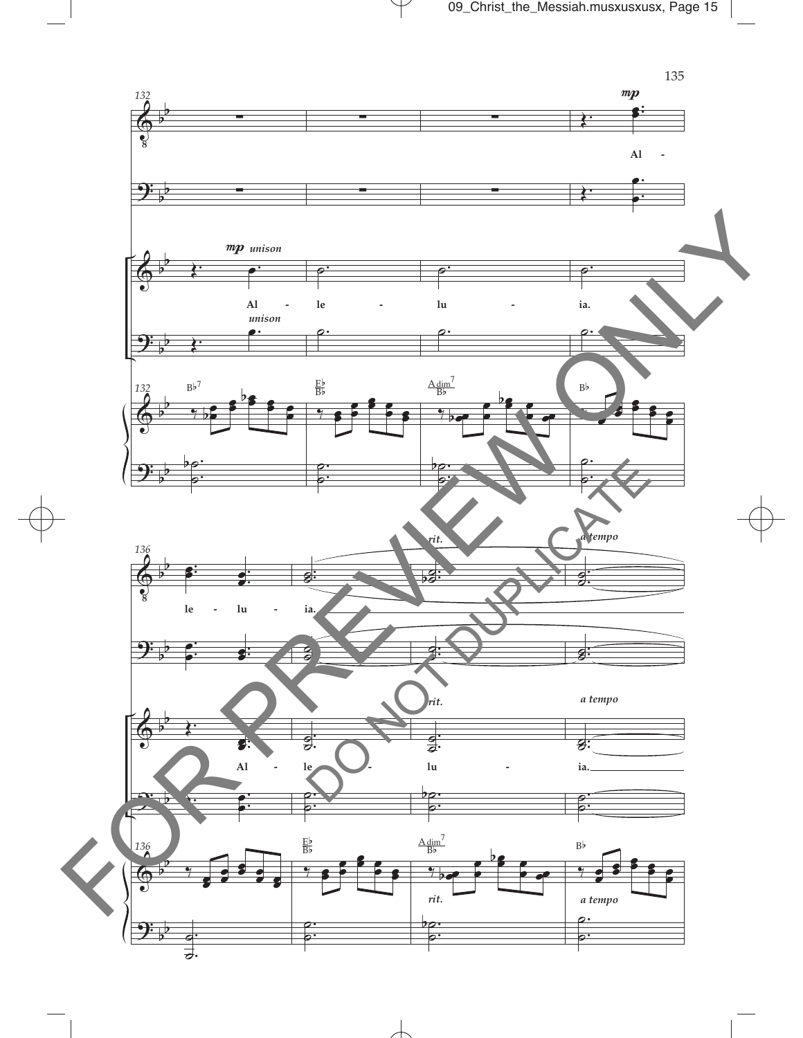

 $\overline{\mathcal{A}}$ 

 $^{-}$   $\vert$